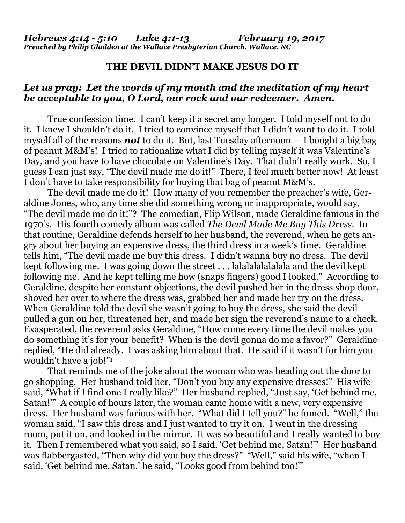## **THE DEVIL DIDN'T MAKE JESUS DO IT**

## *Let us pray: Let the words of my mouth and the meditation of my heart be acceptable to you, O Lord, our rock and our redeemer. Amen.*

True confession time. I can't keep it a secret any longer. I told myself not to do it. I knew I shouldn't do it. I tried to convince myself that I didn't want to do it. I told myself all of the reasons *not* to do it. But, last Tuesday afternoon — I bought a big bag of peanut M&M's! I tried to rationalize what I did by telling myself it was Valentine's Day, and you have to have chocolate on Valentine's Day. That didn't really work. So, I guess I can just say, "The devil made me do it!" There, I feel much better now! At least I don't have to take responsibility for buying that bag of peanut M&M's.

The devil made me do it! How many of you remember the preacher's wife, Geraldine Jones, who, any time she did something wrong or inappropriate, would say, "The devil made me do it!"? The comedian, Flip Wilson, made Geraldine famous in the 1970's. His fourth comedy album was called *The Devil Made Me Buy This Dress*. In that routine, Geraldine defends herself to her husband, the reverend, when he gets angry about her buying an expensive dress, the third dress in a week's time. Geraldine tells him, "The devil made me buy this dress. I didn't wanna buy no dress. The devil kept following me. I was going down the street . . . lalalalalalalala and the devil kept following me. And he kept telling me how (snaps fingers) good I looked." According to Geraldine, despite her constant objections, the devil pushed her in the dress shop door, shoved her over to where the dress was, grabbed her and made her try on the dress. When Geraldine told the devil she wasn't going to buy the dress, she said the devil pulled a gun on her, threatened her, and made her sign the reverend's name to a check. Exasperated, the reverend asks Geraldine, "How come every time the devil makes you do something it's for your benefit? When is the devil gonna do me a favor?" Geraldine replied, "He did already. I was asking him about that. He said if it wasn't for him you wouldn't have a job!"<sup>1</sup>

That reminds me of the joke about the woman who was heading out the door to go shopping. Her husband told her, "Don't you buy any expensive dresses!" His wife said, "What if I find one I really like?" Her husband replied, "Just say, 'Get behind me, Satan!'" A couple of hours later, the woman came home with a new, very expensive dress. Her husband was furious with her. "What did I tell you?" he fumed. "Well," the woman said, "I saw this dress and I just wanted to try it on. I went in the dressing room, put it on, and looked in the mirror. It was so beautiful and I really wanted to buy it. Then I remembered what you said, so I said, 'Get behind me, Satan!'" Her husband was flabbergasted, "Then why did you buy the dress?" "Well," said his wife, "when I said, 'Get behind me, Satan,' he said, "Looks good from behind too!'"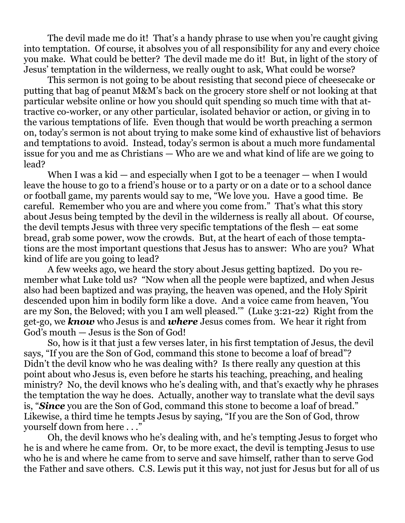The devil made me do it! That's a handy phrase to use when you're caught giving into temptation. Of course, it absolves you of all responsibility for any and every choice you make. What could be better? The devil made me do it! But, in light of the story of Jesus' temptation in the wilderness, we really ought to ask, What could be worse?

This sermon is not going to be about resisting that second piece of cheesecake or putting that bag of peanut M&M's back on the grocery store shelf or not looking at that particular website online or how you should quit spending so much time with that attractive co-worker, or any other particular, isolated behavior or action, or giving in to the various temptations of life. Even though that would be worth preaching a sermon on, today's sermon is not about trying to make some kind of exhaustive list of behaviors and temptations to avoid. Instead, today's sermon is about a much more fundamental issue for you and me as Christians — Who are we and what kind of life are we going to lead?

When I was a kid  $-$  and especially when I got to be a teenager  $-$  when I would leave the house to go to a friend's house or to a party or on a date or to a school dance or football game, my parents would say to me, "We love you. Have a good time. Be careful. Remember who you are and where you come from." That's what this story about Jesus being tempted by the devil in the wilderness is really all about. Of course, the devil tempts Jesus with three very specific temptations of the flesh — eat some bread, grab some power, wow the crowds. But, at the heart of each of those temptations are the most important questions that Jesus has to answer: Who are you? What kind of life are you going to lead?

A few weeks ago, we heard the story about Jesus getting baptized. Do you remember what Luke told us? "Now when all the people were baptized, and when Jesus also had been baptized and was praying, the heaven was opened, and the Holy Spirit descended upon him in bodily form like a dove. And a voice came from heaven, 'You are my Son, the Beloved; with you I am well pleased.'" (Luke 3:21-22) Right from the get-go, we *know* who Jesus is and *where* Jesus comes from. We hear it right from God's mouth — Jesus is the Son of God!

So, how is it that just a few verses later, in his first temptation of Jesus, the devil says, "If you are the Son of God, command this stone to become a loaf of bread"? Didn't the devil know who he was dealing with? Is there really any question at this point about who Jesus is, even before he starts his teaching, preaching, and healing ministry? No, the devil knows who he's dealing with, and that's exactly why he phrases the temptation the way he does. Actually, another way to translate what the devil says is, "*Since* you are the Son of God, command this stone to become a loaf of bread." Likewise, a third time he tempts Jesus by saying, "If you are the Son of God, throw yourself down from here . . ."

Oh, the devil knows who he's dealing with, and he's tempting Jesus to forget who he is and where he came from. Or, to be more exact, the devil is tempting Jesus to use who he is and where he came from to serve and save himself, rather than to serve God the Father and save others. C.S. Lewis put it this way, not just for Jesus but for all of us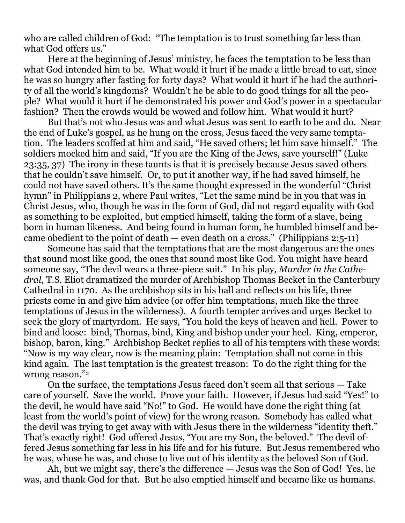who are called children of God: "The temptation is to trust something far less than what God offers us."

Here at the beginning of Jesus' ministry, he faces the temptation to be less than what God intended him to be. What would it hurt if he made a little bread to eat, since he was so hungry after fasting for forty days? What would it hurt if he had the authority of all the world's kingdoms? Wouldn't he be able to do good things for all the people? What would it hurt if he demonstrated his power and God's power in a spectacular fashion? Then the crowds would be wowed and follow him. What would it hurt?

But that's not who Jesus was and what Jesus was sent to earth to be and do. Near the end of Luke's gospel, as he hung on the cross, Jesus faced the very same temptation. The leaders scoffed at him and said, "He saved others; let him save himself." The soldiers mocked him and said, "If you are the King of the Jews, save yourself!" (Luke 23:35, 37) The irony in these taunts is that it is precisely because Jesus saved others that he couldn't save himself. Or, to put it another way, if he had saved himself, he could not have saved others. It's the same thought expressed in the wonderful "Christ hymn" in Philippians 2, where Paul writes, "Let the same mind be in you that was in Christ Jesus, who, though he was in the form of God, did not regard equality with God as something to be exploited, but emptied himself, taking the form of a slave, being born in human likeness. And being found in human form, he humbled himself and became obedient to the point of death — even death on a cross." (Philippians  $2:5-11$ )

Someone has said that the temptations that are the most dangerous are the ones that sound most like good, the ones that sound most like God. You might have heard someone say, "The devil wears a three-piece suit." In his play, *Murder in the Cathedral*, T.S. Eliot dramatized the murder of Archbishop Thomas Becket in the Canterbury Cathedral in 1170. As the archbishop sits in his hall and reflects on his life, three priests come in and give him advice (or offer him temptations, much like the three temptations of Jesus in the wilderness). A fourth tempter arrives and urges Becket to seek the glory of martyrdom. He says, "You hold the keys of heaven and hell. Power to bind and loose: bind, Thomas, bind, King and bishop under your heel. King, emperor, bishop, baron, king." Archbishop Becket replies to all of his tempters with these words: "Now is my way clear, now is the meaning plain: Temptation shall not come in this kind again. The last temptation is the greatest treason: To do the right thing for the wrong reason."<sup>2</sup>

On the surface, the temptations Jesus faced don't seem all that serious — Take care of yourself. Save the world. Prove your faith. However, if Jesus had said "Yes!" to the devil, he would have said "No!" to God. He would have done the right thing (at least from the world's point of view) for the wrong reason. Somebody has called what the devil was trying to get away with with Jesus there in the wilderness "identity theft." That's exactly right! God offered Jesus, "You are my Son, the beloved." The devil offered Jesus something far less in his life and for his future. But Jesus remembered who he was, whose he was, and chose to live out of his identity as the beloved Son of God.

Ah, but we might say, there's the difference — Jesus was the Son of God! Yes, he was, and thank God for that. But he also emptied himself and became like us humans.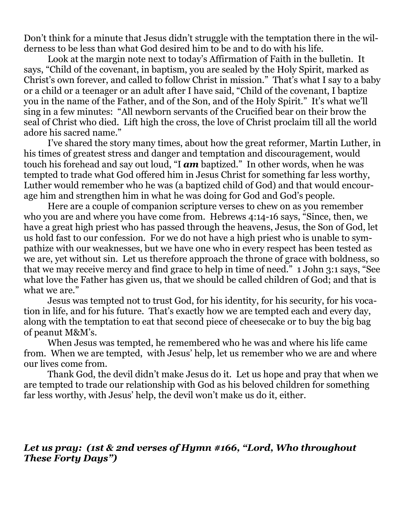Don't think for a minute that Jesus didn't struggle with the temptation there in the wilderness to be less than what God desired him to be and to do with his life.

Look at the margin note next to today's Affirmation of Faith in the bulletin. It says, "Child of the covenant, in baptism, you are sealed by the Holy Spirit, marked as Christ's own forever, and called to follow Christ in mission." That's what I say to a baby or a child or a teenager or an adult after I have said, "Child of the covenant, I baptize you in the name of the Father, and of the Son, and of the Holy Spirit." It's what we'll sing in a few minutes: "All newborn servants of the Crucified bear on their brow the seal of Christ who died. Lift high the cross, the love of Christ proclaim till all the world adore his sacred name."

I've shared the story many times, about how the great reformer, Martin Luther, in his times of greatest stress and danger and temptation and discouragement, would touch his forehead and say out loud, "I *am* baptized." In other words, when he was tempted to trade what God offered him in Jesus Christ for something far less worthy, Luther would remember who he was (a baptized child of God) and that would encourage him and strengthen him in what he was doing for God and God's people.

Here are a couple of companion scripture verses to chew on as you remember who you are and where you have come from. Hebrews 4:14-16 says, "Since, then, we have a great high priest who has passed through the heavens, Jesus, the Son of God, let us hold fast to our confession. For we do not have a high priest who is unable to sympathize with our weaknesses, but we have one who in every respect has been tested as we are, yet without sin. Let us therefore approach the throne of grace with boldness, so that we may receive mercy and find grace to help in time of need." 1 John 3:1 says, "See what love the Father has given us, that we should be called children of God; and that is what we are."

Jesus was tempted not to trust God, for his identity, for his security, for his vocation in life, and for his future. That's exactly how we are tempted each and every day, along with the temptation to eat that second piece of cheesecake or to buy the big bag of peanut M&M's.

When Jesus was tempted, he remembered who he was and where his life came from. When we are tempted, with Jesus' help, let us remember who we are and where our lives come from.

Thank God, the devil didn't make Jesus do it. Let us hope and pray that when we are tempted to trade our relationship with God as his beloved children for something far less worthy, with Jesus' help, the devil won't make us do it, either.

## *Let us pray: (1st & 2nd verses of Hymn #166, "Lord, Who throughout These Forty Days")*